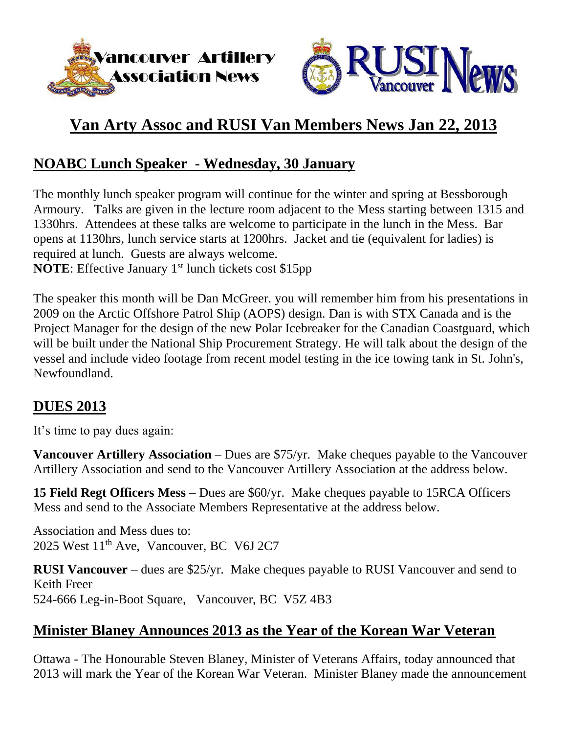



# **Van Arty Assoc and RUSI Van Members News Jan 22, 2013**

### **NOABC Lunch Speaker - Wednesday, 30 January**

The monthly lunch speaker program will continue for the winter and spring at Bessborough Armoury. Talks are given in the lecture room adjacent to the Mess starting between 1315 and 1330hrs. Attendees at these talks are welcome to participate in the lunch in the Mess. Bar opens at 1130hrs, lunch service starts at 1200hrs. Jacket and tie (equivalent for ladies) is required at lunch. Guests are always welcome.

**NOTE**: Effective January 1<sup>st</sup> lunch tickets cost \$15pp

The speaker this month will be Dan McGreer. you will remember him from his presentations in 2009 on the Arctic Offshore Patrol Ship (AOPS) design. Dan is with STX Canada and is the Project Manager for the design of the new Polar Icebreaker for the Canadian Coastguard, which will be built under the National Ship Procurement Strategy. He will talk about the design of the vessel and include video footage from recent model testing in the ice towing tank in St. John's, Newfoundland.

#### **DUES 2013**

It's time to pay dues again:

**Vancouver Artillery Association** – Dues are \$75/yr. Make cheques payable to the Vancouver Artillery Association and send to the Vancouver Artillery Association at the address below.

**15 Field Regt Officers Mess –** Dues are \$60/yr. Make cheques payable to 15RCA Officers Mess and send to the Associate Members Representative at the address below.

Association and Mess dues to: 2025 West 11<sup>th</sup> Ave, Vancouver, BC V6J 2C7

**RUSI Vancouver** – dues are \$25/yr. Make cheques payable to RUSI Vancouver and send to Keith Freer 524-666 Leg-in-Boot Square, Vancouver, BC V5Z 4B3

#### **Minister Blaney Announces 2013 as the Year of the Korean War Veteran**

Ottawa - The Honourable Steven Blaney, Minister of Veterans Affairs, today announced that 2013 will mark the Year of the Korean War Veteran. Minister Blaney made the announcement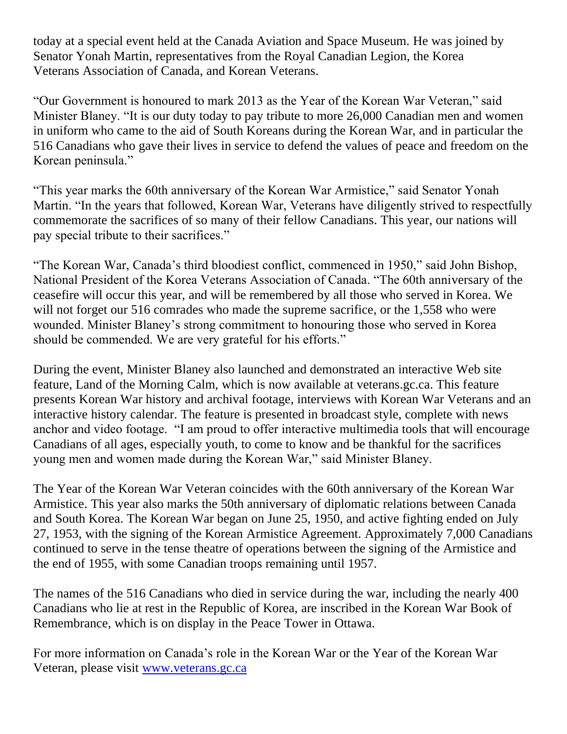today at a special event held at the Canada Aviation and Space Museum. He was joined by Senator Yonah Martin, representatives from the Royal Canadian Legion, the Korea Veterans Association of Canada, and Korean Veterans.

"Our Government is honoured to mark 2013 as the Year of the Korean War Veteran," said Minister Blaney. "It is our duty today to pay tribute to more 26,000 Canadian men and women in uniform who came to the aid of South Koreans during the Korean War, and in particular the 516 Canadians who gave their lives in service to defend the values of peace and freedom on the Korean peninsula."

"This year marks the 60th anniversary of the Korean War Armistice," said Senator Yonah Martin. "In the years that followed, Korean War, Veterans have diligently strived to respectfully commemorate the sacrifices of so many of their fellow Canadians. This year, our nations will pay special tribute to their sacrifices."

"The Korean War, Canada's third bloodiest conflict, commenced in 1950," said John Bishop, National President of the Korea Veterans Association of Canada. "The 60th anniversary of the ceasefire will occur this year, and will be remembered by all those who served in Korea. We will not forget our 516 comrades who made the supreme sacrifice, or the 1,558 who were wounded. Minister Blaney's strong commitment to honouring those who served in Korea should be commended. We are very grateful for his efforts."

During the event, Minister Blaney also launched and demonstrated an interactive Web site feature, Land of the Morning Calm, which is now available at veterans.gc.ca. This feature presents Korean War history and archival footage, interviews with Korean War Veterans and an interactive history calendar. The feature is presented in broadcast style, complete with news anchor and video footage. "I am proud to offer interactive multimedia tools that will encourage Canadians of all ages, especially youth, to come to know and be thankful for the sacrifices young men and women made during the Korean War," said Minister Blaney.

The Year of the Korean War Veteran coincides with the 60th anniversary of the Korean War Armistice. This year also marks the 50th anniversary of diplomatic relations between Canada and South Korea. The Korean War began on June 25, 1950, and active fighting ended on July 27, 1953, with the signing of the Korean Armistice Agreement. Approximately 7,000 Canadians continued to serve in the tense theatre of operations between the signing of the Armistice and the end of 1955, with some Canadian troops remaining until 1957.

The names of the 516 Canadians who died in service during the war, including the nearly 400 Canadians who lie at rest in the Republic of Korea, are inscribed in the Korean War Book of Remembrance, which is on display in the Peace Tower in Ottawa.

For more information on Canada's role in the Korean War or the Year of the Korean War Veteran, please visit [www.veterans.gc.ca](http://www.veterans.gc.ca/)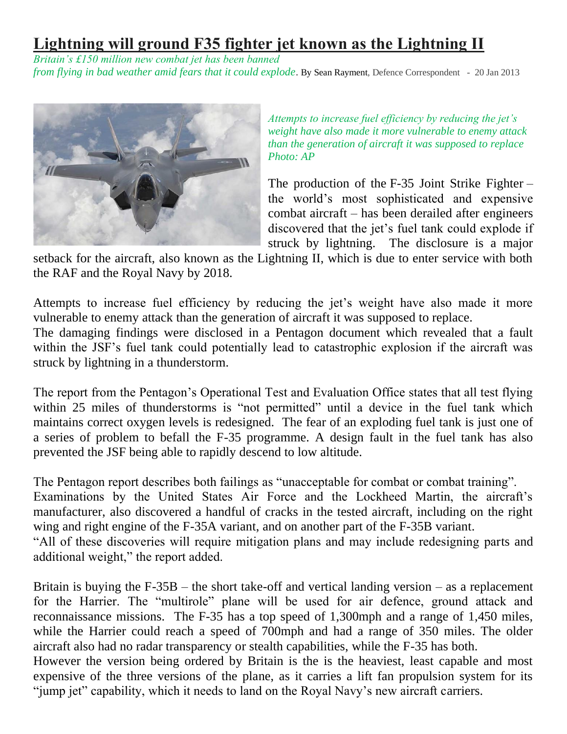## **Lightning will ground F35 fighter jet known as the Lightning II**

*Britain's £150 million new combat jet has been banned from flying in bad weather amid fears that it could explode*. By Sean Rayment, Defence Correspondent - 20 Jan 2013



*Attempts to increase fuel efficiency by reducing the jet's weight have also made it more vulnerable to enemy attack than the generation of aircraft it was supposed to replace Photo: AP*

The production of the F-35 Joint Strike Fighter – the world's most sophisticated and expensive combat aircraft – has been derailed after engineers discovered that the jet's fuel tank could explode if struck by lightning. The disclosure is a major

setback for the aircraft, also known as the Lightning II, which is due to enter service with both the RAF and the Royal Navy by 2018.

Attempts to increase fuel efficiency by reducing the jet's weight have also made it more vulnerable to enemy attack than the generation of aircraft it was supposed to replace.

The damaging findings were disclosed in a Pentagon document which revealed that a fault within the JSF's fuel tank could potentially lead to catastrophic explosion if the aircraft was struck by lightning in a thunderstorm.

The report from the Pentagon's Operational Test and Evaluation Office states that all test flying within 25 miles of thunderstorms is "not permitted" until a device in the fuel tank which maintains correct oxygen levels is redesigned. The fear of an exploding fuel tank is just one of a series of problem to befall the F-35 programme. A design fault in the fuel tank has also prevented the JSF being able to rapidly descend to low altitude.

The Pentagon report describes both failings as "unacceptable for combat or combat training".

Examinations by the United States Air Force and the Lockheed Martin, the aircraft's manufacturer, also discovered a handful of cracks in the tested aircraft, including on the right wing and right engine of the F-35A variant, and on another part of the F-35B variant.

"All of these discoveries will require mitigation plans and may include redesigning parts and additional weight," the report added.

Britain is buying the  $F-35B$  – the short take-off and vertical landing version – as a replacement for the Harrier. The "multirole" plane will be used for air defence, ground attack and reconnaissance missions. The F-35 has a top speed of 1,300mph and a range of 1,450 miles, while the Harrier could reach a speed of 700mph and had a range of 350 miles. The older aircraft also had no radar transparency or stealth capabilities, while the F-35 has both.

However the version being ordered by Britain is the is the heaviest, least capable and most expensive of the three versions of the plane, as it carries a lift fan propulsion system for its "jump jet" capability, which it needs to land on the Royal Navy's new aircraft carriers.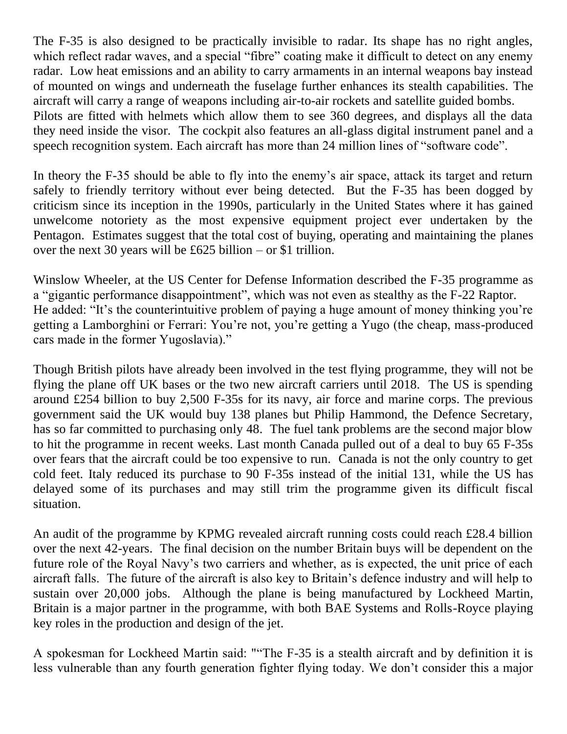The F-35 is also designed to be practically invisible to radar. Its shape has no right angles, which reflect radar waves, and a special "fibre" coating make it difficult to detect on any enemy radar. Low heat emissions and an ability to carry armaments in an internal weapons bay instead of mounted on wings and underneath the fuselage further enhances its stealth capabilities. The aircraft will carry a range of weapons including air-to-air rockets and satellite guided bombs. Pilots are fitted with helmets which allow them to see 360 degrees, and displays all the data they need inside the visor. The cockpit also features an all-glass digital instrument panel and a speech recognition system. Each aircraft has more than 24 million lines of "software code".

In theory the F-35 should be able to fly into the enemy's air space, attack its target and return safely to friendly territory without ever being detected. But the F-35 has been dogged by criticism since its inception in the 1990s, particularly in the United States where it has gained unwelcome notoriety as the most expensive equipment project ever undertaken by the Pentagon. Estimates suggest that the total cost of buying, operating and maintaining the planes over the next 30 years will be £625 billion – or \$1 trillion.

Winslow Wheeler, at the US Center for Defense Information described the F-35 programme as a "gigantic performance disappointment", which was not even as stealthy as the F-22 Raptor. He added: "It's the counterintuitive problem of paying a huge amount of money thinking you're getting a Lamborghini or Ferrari: You're not, you're getting a Yugo (the cheap, mass-produced cars made in the former Yugoslavia)."

Though British pilots have already been involved in the test flying programme, they will not be flying the plane off UK bases or the two new aircraft carriers until 2018. The US is spending around £254 billion to buy 2,500 F-35s for its navy, air force and marine corps. The previous government said the UK would buy 138 planes but Philip Hammond, the Defence Secretary, has so far committed to purchasing only 48. The fuel tank problems are the second major blow to hit the programme in recent weeks. Last month Canada pulled out of a deal to buy 65 F-35s over fears that the aircraft could be too expensive to run. Canada is not the only country to get cold feet. Italy reduced its purchase to 90 F-35s instead of the initial 131, while the US has delayed some of its purchases and may still trim the programme given its difficult fiscal situation.

An audit of the programme by KPMG revealed aircraft running costs could reach £28.4 billion over the next 42-years. The final decision on the number Britain buys will be dependent on the future role of the Royal Navy's two carriers and whether, as is expected, the unit price of each aircraft falls. The future of the aircraft is also key to Britain's defence industry and will help to sustain over 20,000 jobs. Although the plane is being manufactured by Lockheed Martin, Britain is a major partner in the programme, with both BAE Systems and Rolls-Royce playing key roles in the production and design of the jet.

A spokesman for Lockheed Martin said: ""The F-35 is a stealth aircraft and by definition it is less vulnerable than any fourth generation fighter flying today. We don't consider this a major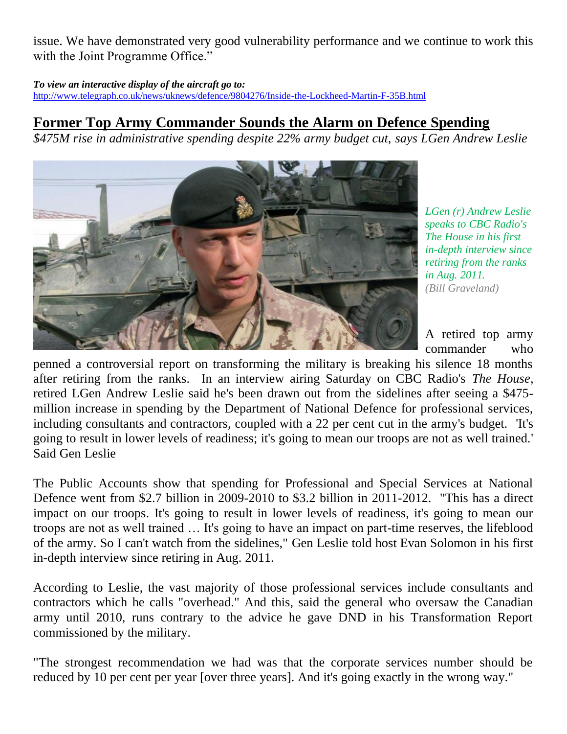issue. We have demonstrated very good vulnerability performance and we continue to work this with the Joint Programme Office."

*To view an interactive display of the aircraft go to:*

<http://www.telegraph.co.uk/news/uknews/defence/9804276/Inside-the-Lockheed-Martin-F-35B.html>

### **Former Top Army Commander Sounds the Alarm on Defence Spending**

*\$475M rise in administrative spending despite 22% army budget cut, says LGen Andrew Leslie*



*LGen (r) Andrew Leslie speaks to CBC Radio's The House in his first in-depth interview since retiring from the ranks in Aug. 2011. (Bill Graveland)*

A retired top army commander who

penned a controversial report on transforming the military is breaking his silence 18 months after retiring from the ranks. In an interview airing Saturday on CBC Radio's *The House*, retired LGen Andrew Leslie said he's been drawn out from the sidelines after seeing a \$475 million increase in spending by the Department of National Defence for professional services, including consultants and contractors, coupled with a 22 per cent cut in the army's budget. 'It's going to result in lower levels of readiness; it's going to mean our troops are not as well trained.' Said Gen Leslie

The Public Accounts show that spending for Professional and Special Services at National Defence went from \$2.7 billion in 2009-2010 to \$3.2 billion in 2011-2012. "This has a direct impact on our troops. It's going to result in lower levels of readiness, it's going to mean our troops are not as well trained … It's going to have an impact on part-time reserves, the lifeblood of the army. So I can't watch from the sidelines," Gen Leslie told host Evan Solomon in his first in-depth interview since retiring in Aug. 2011.

According to Leslie, the vast majority of those professional services include consultants and contractors which he calls "overhead." And this, said the general who oversaw the Canadian army until 2010, runs contrary to the advice he gave DND in his Transformation Report commissioned by the military.

"The strongest recommendation we had was that the corporate services number should be reduced by 10 per cent per year [over three years]. And it's going exactly in the wrong way."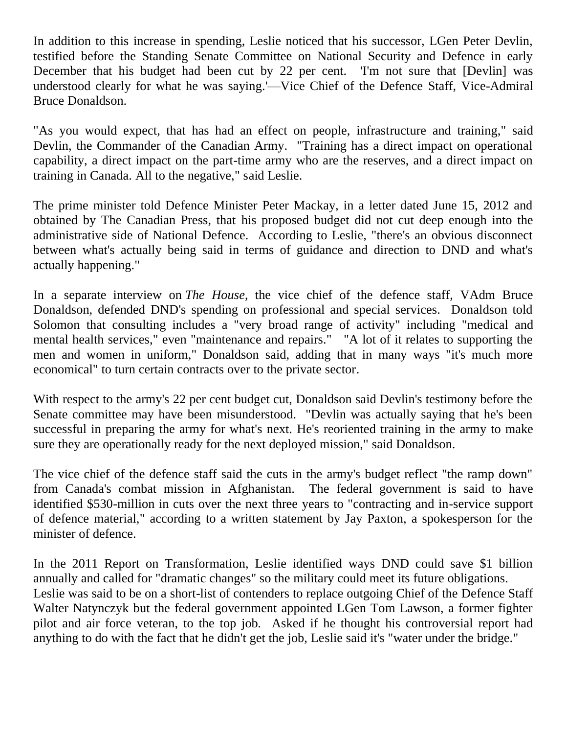In addition to this increase in spending, Leslie noticed that his successor, LGen Peter Devlin, testified before the Standing Senate Committee on National Security and Defence in early December that his budget had been cut by 22 per cent. The not sure that [Devlin] was understood clearly for what he was saying.'—Vice Chief of the Defence Staff, Vice-Admiral Bruce Donaldson.

"As you would expect, that has had an effect on people, infrastructure and training," said Devlin, the Commander of the Canadian Army. "Training has a direct impact on operational capability, a direct impact on the part-time army who are the reserves, and a direct impact on training in Canada. All to the negative," said Leslie.

The prime minister told Defence Minister Peter Mackay, in a letter dated June 15, 2012 and obtained by The Canadian Press, that his proposed budget did not cut deep enough into the administrative side of National Defence. According to Leslie, "there's an obvious disconnect between what's actually being said in terms of guidance and direction to DND and what's actually happening."

In a separate interview on *The House*, the vice chief of the defence staff, VAdm Bruce Donaldson, defended DND's spending on professional and special services. Donaldson told Solomon that consulting includes a "very broad range of activity" including "medical and mental health services," even "maintenance and repairs." "A lot of it relates to supporting the men and women in uniform," Donaldson said, adding that in many ways "it's much more economical" to turn certain contracts over to the private sector.

With respect to the army's 22 per cent budget cut, Donaldson said Devlin's testimony before the Senate committee may have been misunderstood. "Devlin was actually saying that he's been successful in preparing the army for what's next. He's reoriented training in the army to make sure they are operationally ready for the next deployed mission," said Donaldson.

The vice chief of the defence staff said the cuts in the army's budget reflect "the ramp down" from Canada's combat mission in Afghanistan. The federal government is said to have identified \$530-million in cuts over the next three years to "contracting and in-service support of defence material," according to a written statement by Jay Paxton, a spokesperson for the minister of defence.

In the 2011 Report on Transformation, Leslie identified ways DND could save \$1 billion annually and called for "dramatic changes" so the military could meet its future obligations. Leslie was said to be on a short-list of contenders to replace outgoing Chief of the Defence Staff Walter Natynczyk but the federal government appointed LGen Tom Lawson, a former fighter pilot and air force veteran, to the top job. Asked if he thought his controversial report had anything to do with the fact that he didn't get the job, Leslie said it's "water under the bridge."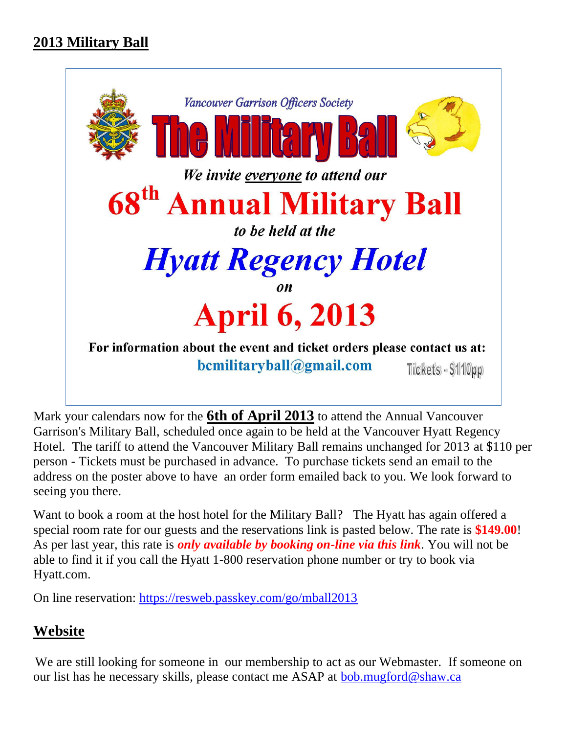

Mark your calendars now for the **6th of April 2013** to attend the Annual Vancouver Garrison's Military Ball, scheduled once again to be held at the Vancouver Hyatt Regency Hotel. The tariff to attend the Vancouver Military Ball remains unchanged for 2013 at \$110 per person - Tickets must be purchased in advance. To purchase tickets send an email to the address on the poster above to have an order form emailed back to you. We look forward to seeing you there.

Want to book a room at the host hotel for the Military Ball? The Hyatt has again offered a special room rate for our guests and the reservations link is pasted below. The rate is **\$149.00**! As per last year, this rate is *only available by booking on-line via this link*. You will not be able to find it if you call the Hyatt 1-800 reservation phone number or try to book via Hyatt.com.

On line reservation:<https://resweb.passkey.com/go/mball2013>

#### **Website**

We are still looking for someone in our membership to act as our Webmaster. If someone on our list has he necessary skills, please contact me ASAP at <u>bob.mugford@shaw.ca</u>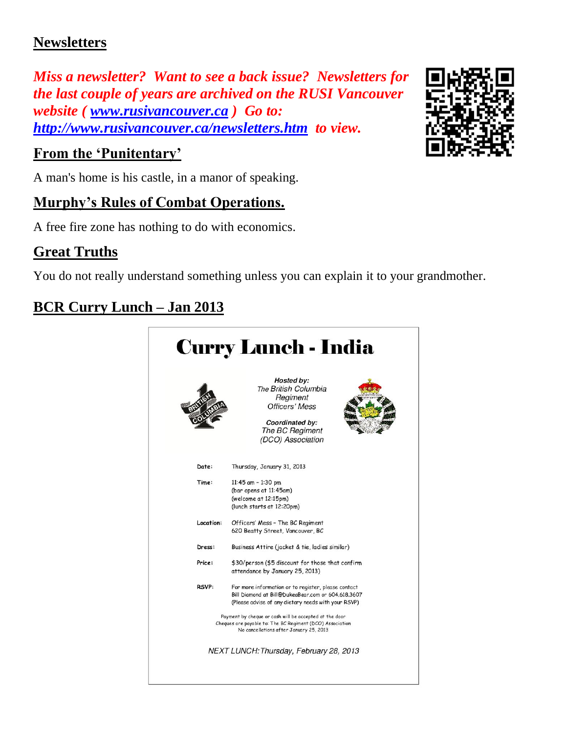### **Newsletters**

*Miss a newsletter? Want to see a back issue? Newsletters for the last couple of years are archived on the RUSI Vancouver website ( [www.rusivancouver.ca](http://www.rusivancouver.ca/) ) Go to: <http://www.rusivancouver.ca/newsletters.htm>to view.*

### **From the 'Punitentary'**

A man's home is his castle, in a manor of speaking.

### **Murphy's Rules of Combat Operations.**

A free fire zone has nothing to do with economics.

## **Great Truths**

You do not really understand something unless you can explain it to your grandmother.

# **BCR Curry Lunch – Jan 2013**